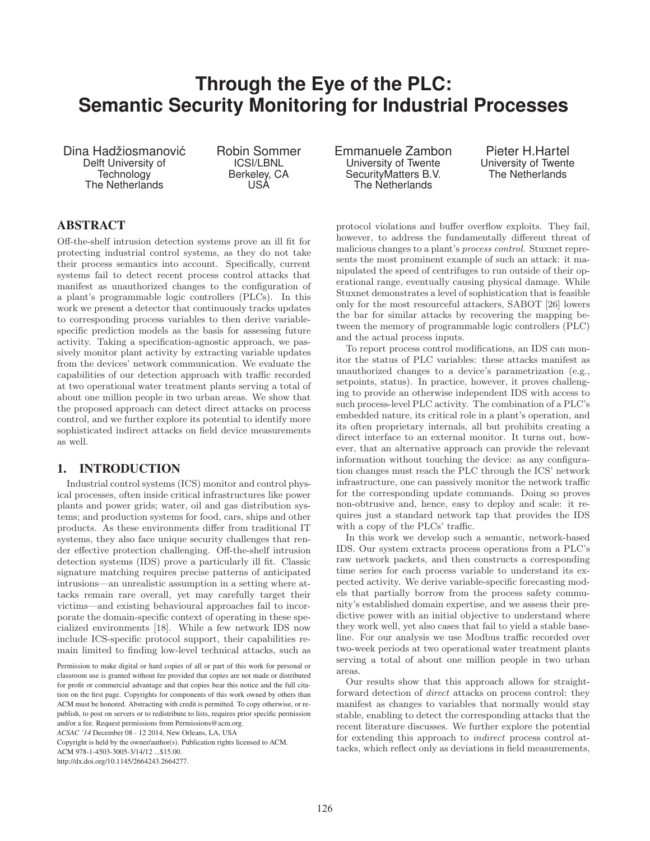# **Through the Eye of the PLC: Semantic Security Monitoring for Industrial Processes**

Dina Hadžiosmanovic´ Delft University of **Technology** The Netherlands

Robin Sommer ICSI/LBNL Berkeley, CA USA

Emmanuele Zambon University of Twente SecurityMatters B.V. The Netherlands

Pieter H.Hartel University of Twente The Netherlands

# ABSTRACT

Off-the-shelf intrusion detection systems prove an ill fit for protecting industrial control systems, as they do not take their process semantics into account. Specifically, current systems fail to detect recent process control attacks that manifest as unauthorized changes to the configuration of a plant's programmable logic controllers (PLCs). In this work we present a detector that continuously tracks updates to corresponding process variables to then derive variablespecific prediction models as the basis for assessing future activity. Taking a specification-agnostic approach, we passively monitor plant activity by extracting variable updates from the devices' network communication. We evaluate the capabilities of our detection approach with traffic recorded at two operational water treatment plants serving a total of about one million people in two urban areas. We show that the proposed approach can detect direct attacks on process control, and we further explore its potential to identify more sophisticated indirect attacks on field device measurements as well.

# 1. INTRODUCTION

Industrial control systems (ICS) monitor and control physical processes, often inside critical infrastructures like power plants and power grids; water, oil and gas distribution systems; and production systems for food, cars, ships and other products. As these environments differ from traditional IT systems, they also face unique security challenges that render effective protection challenging. Off-the-shelf intrusion detection systems (IDS) prove a particularly ill fit. Classic signature matching requires precise patterns of anticipated intrusions—an unrealistic assumption in a setting where attacks remain rare overall, yet may carefully target their victims—and existing behavioural approaches fail to incorporate the domain-specific context of operating in these specialized environments [18]. While a few network IDS now include ICS-specific protocol support, their capabilities remain limited to finding low-level technical attacks, such as

*ACSAC '14* December 08 - 12 2014, New Orleans, LA, USA

http://dx.doi.org/10.1145/2664243.2664277.

protocol violations and buffer overflow exploits. They fail, however, to address the fundamentally different threat of malicious changes to a plant's *process control*. Stuxnet represents the most prominent example of such an attack: it manipulated the speed of centrifuges to run outside of their operational range, eventually causing physical damage. While Stuxnet demonstrates a level of sophistication that is feasible only for the most resourceful attackers, SABOT [26] lowers the bar for similar attacks by recovering the mapping between the memory of programmable logic controllers (PLC) and the actual process inputs.

To report process control modifications, an IDS can monitor the status of PLC variables: these attacks manifest as unauthorized changes to a device's parametrization (e.g., setpoints, status). In practice, however, it proves challenging to provide an otherwise independent IDS with access to such process-level PLC activity. The combination of a PLC's embedded nature, its critical role in a plant's operation, and its often proprietary internals, all but prohibits creating a direct interface to an external monitor. It turns out, however, that an alternative approach can provide the relevant information without touching the device: as any configuration changes must reach the PLC through the ICS' network infrastructure, one can passively monitor the network traffic for the corresponding update commands. Doing so proves non-obtrusive and, hence, easy to deploy and scale: it requires just a standard network tap that provides the IDS with a copy of the PLCs' traffic.

In this work we develop such a semantic, network-based IDS. Our system extracts process operations from a PLC's raw network packets, and then constructs a corresponding time series for each process variable to understand its expected activity. We derive variable-specific forecasting models that partially borrow from the process safety community's established domain expertise, and we assess their predictive power with an initial objective to understand where they work well, yet also cases that fail to yield a stable baseline. For our analysis we use Modbus traffic recorded over two-week periods at two operational water treatment plants serving a total of about one million people in two urban areas.

Our results show that this approach allows for straightforward detection of *direct* attacks on process control: they manifest as changes to variables that normally would stay stable, enabling to detect the corresponding attacks that the recent literature discusses. We further explore the potential for extending this approach to *indirect* process control attacks, which reflect only as deviations in field measurements,

Permission to make digital or hard copies of all or part of this work for personal or classroom use is granted without fee provided that copies are not made or distributed for profit or commercial advantage and that copies bear this notice and the full citation on the first page. Copyrights for components of this work owned by others than ACM must be honored. Abstracting with credit is permitted. To copy otherwise, or republish, to post on servers or to redistribute to lists, requires prior specific permission and/or a fee. Request permissions from Permissions@acm.org.

Copyright is held by the owner/author(s). Publication rights licensed to ACM.

ACM 978-1-4503-3005-3/14/12 ...\$15.00.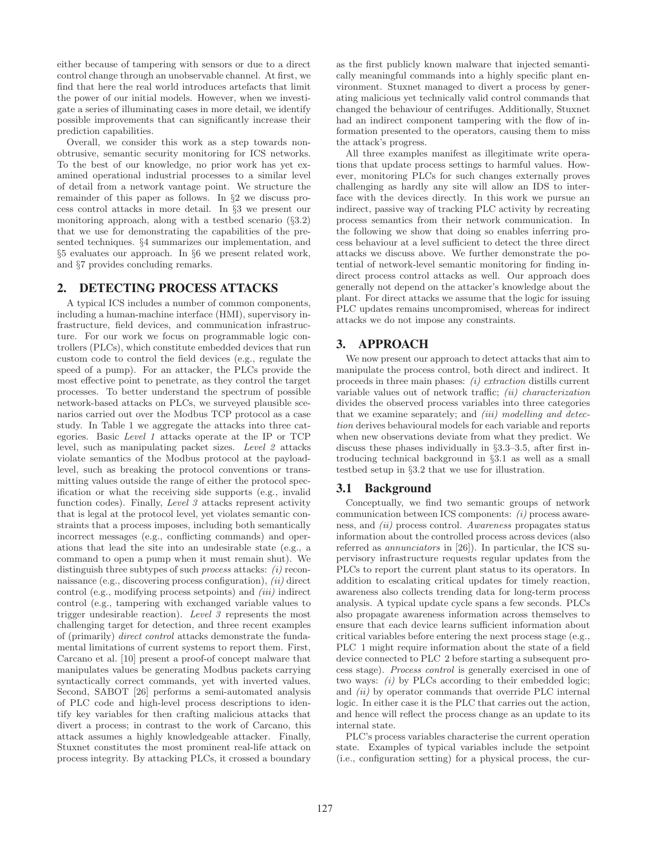either because of tampering with sensors or due to a direct control change through an unobservable channel. At first, we find that here the real world introduces artefacts that limit the power of our initial models. However, when we investigate a series of illuminating cases in more detail, we identify possible improvements that can significantly increase their prediction capabilities.

Overall, we consider this work as a step towards nonobtrusive, semantic security monitoring for ICS networks. To the best of our knowledge, no prior work has yet examined operational industrial processes to a similar level of detail from a network vantage point. We structure the remainder of this paper as follows. In §2 we discuss process control attacks in more detail. In §3 we present our monitoring approach, along with a testbed scenario  $(\S3.2)$ that we use for demonstrating the capabilities of the presented techniques. §4 summarizes our implementation, and §5 evaluates our approach. In §6 we present related work, and §7 provides concluding remarks.

# 2. DETECTING PROCESS ATTACKS

A typical ICS includes a number of common components, including a human-machine interface (HMI), supervisory infrastructure, field devices, and communication infrastructure. For our work we focus on programmable logic controllers (PLCs), which constitute embedded devices that run custom code to control the field devices (e.g., regulate the speed of a pump). For an attacker, the PLCs provide the most effective point to penetrate, as they control the target processes. To better understand the spectrum of possible network-based attacks on PLCs, we surveyed plausible scenarios carried out over the Modbus TCP protocol as a case study. In Table 1 we aggregate the attacks into three categories. Basic *Level 1* attacks operate at the IP or TCP level, such as manipulating packet sizes. *Level 2* attacks violate semantics of the Modbus protocol at the payloadlevel, such as breaking the protocol conventions or transmitting values outside the range of either the protocol specification or what the receiving side supports (e.g., invalid function codes). Finally, *Level 3* attacks represent activity that is legal at the protocol level, yet violates semantic constraints that a process imposes, including both semantically incorrect messages (e.g., conflicting commands) and operations that lead the site into an undesirable state (e.g., a command to open a pump when it must remain shut). We distinguish three subtypes of such *process* attacks: *(i)* reconnaissance (e.g., discovering process configuration), *(ii)* direct control (e.g., modifying process setpoints) and *(iii)* indirect control (e.g., tampering with exchanged variable values to trigger undesirable reaction). *Level 3* represents the most challenging target for detection, and three recent examples of (primarily) *direct control* attacks demonstrate the fundamental limitations of current systems to report them. First, Carcano et al. [10] present a proof-of concept malware that manipulates values be generating Modbus packets carrying syntactically correct commands, yet with inverted values. Second, SABOT [26] performs a semi-automated analysis of PLC code and high-level process descriptions to identify key variables for then crafting malicious attacks that divert a process; in contrast to the work of Carcano, this attack assumes a highly knowledgeable attacker. Finally, Stuxnet constitutes the most prominent real-life attack on process integrity. By attacking PLCs, it crossed a boundary

as the first publicly known malware that injected semantically meaningful commands into a highly specific plant environment. Stuxnet managed to divert a process by generating malicious yet technically valid control commands that changed the behaviour of centrifuges. Additionally, Stuxnet had an indirect component tampering with the flow of information presented to the operators, causing them to miss the attack's progress.

All three examples manifest as illegitimate write operations that update process settings to harmful values. However, monitoring PLCs for such changes externally proves challenging as hardly any site will allow an IDS to interface with the devices directly. In this work we pursue an indirect, passive way of tracking PLC activity by recreating process semantics from their network communication. In the following we show that doing so enables inferring process behaviour at a level sufficient to detect the three direct attacks we discuss above. We further demonstrate the potential of network-level semantic monitoring for finding indirect process control attacks as well. Our approach does generally not depend on the attacker's knowledge about the plant. For direct attacks we assume that the logic for issuing PLC updates remains uncompromised, whereas for indirect attacks we do not impose any constraints.

# 3. APPROACH

We now present our approach to detect attacks that aim to manipulate the process control, both direct and indirect. It proceeds in three main phases: *(i) extraction* distills current variable values out of network traffic; *(ii) characterization* divides the observed process variables into three categories that we examine separately; and *(iii) modelling and detection* derives behavioural models for each variable and reports when new observations deviate from what they predict. We discuss these phases individually in §3.3–3.5, after first introducing technical background in §3.1 as well as a small testbed setup in §3.2 that we use for illustration.

# 3.1 Background

Conceptually, we find two semantic groups of network communication between ICS components: *(i)* process awareness, and *(ii)* process control. *Awareness* propagates status information about the controlled process across devices (also referred as *annunciators* in [26]). In particular, the ICS supervisory infrastructure requests regular updates from the PLCs to report the current plant status to its operators. In addition to escalating critical updates for timely reaction, awareness also collects trending data for long-term process analysis. A typical update cycle spans a few seconds. PLCs also propagate awareness information across themselves to ensure that each device learns sufficient information about critical variables before entering the next process stage (e.g., PLC 1 might require information about the state of a field device connected to PLC 2 before starting a subsequent process stage). *Process control* is generally exercised in one of two ways: *(i)* by PLCs according to their embedded logic; and *(ii)* by operator commands that override PLC internal logic. In either case it is the PLC that carries out the action, and hence will reflect the process change as an update to its internal state.

PLC's process variables characterise the current operation state. Examples of typical variables include the setpoint (i.e., configuration setting) for a physical process, the cur-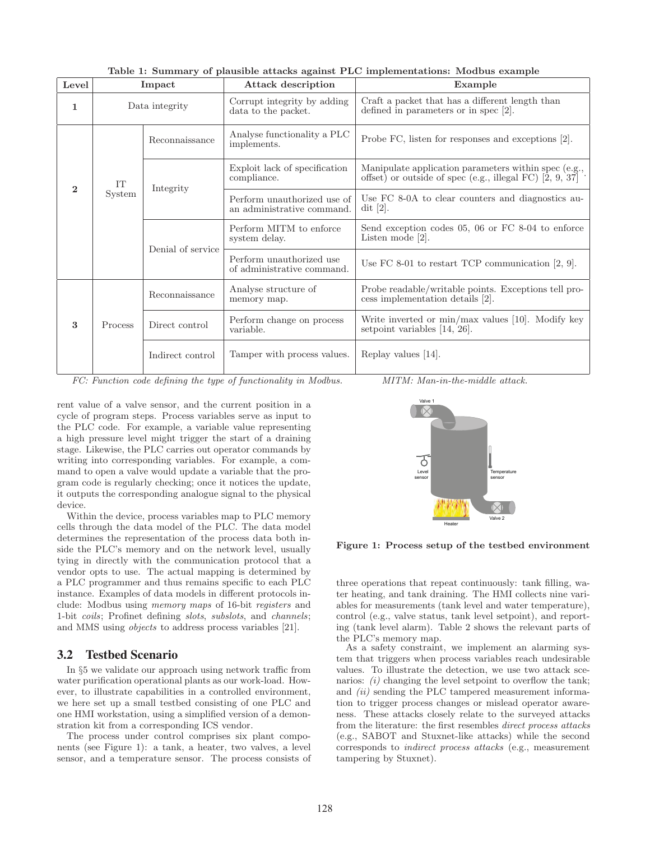| Level        | Impact              |                   | <b>Attack description</b>                                 | Example                                                                                                           |
|--------------|---------------------|-------------------|-----------------------------------------------------------|-------------------------------------------------------------------------------------------------------------------|
| 1            | Data integrity      |                   | Corrupt integrity by adding<br>data to the packet.        | Craft a packet that has a different length than<br>defined in parameters or in spec $[2]$ .                       |
|              |                     | Reconnaissance    | Analyse functionality a PLC<br>implements.                | Probe FC, listen for responses and exceptions [2].                                                                |
| $\mathbf{2}$ | <b>IT</b><br>System | Integrity         | Exploit lack of specification<br>compliance.              | Manipulate application parameters within spec (e.g., offset) or outside of spec (e.g., illegal FC) $[2, 9, 37]$ . |
|              |                     |                   | Perform unauthorized use of<br>an administrative command. | Use FC 8-0A to clear counters and diagnostics au-<br>$\mathrm{dit}$ [2].                                          |
|              |                     | Denial of service | Perform MITM to enforce<br>system delay.                  | Send exception codes 05, 06 or FC 8-04 to enforce<br>Listen mode $[2]$ .                                          |
|              |                     |                   | Perform unauthorized use<br>of administrative command.    | Use FC 8-01 to restart TCP communication $[2, 9]$ .                                                               |
|              |                     | Reconnaissance    | Analyse structure of<br>memory map.                       | Probe readable/writable points. Exceptions tell pro-<br>cess implementation details [2].                          |
| 3            | Process             | Direct control    | Perform change on process<br>variable.                    | Write inverted or $\min/\max$ values [10]. Modify key<br>setpoint variables $[14, 26]$ .                          |
|              |                     | Indirect control  | Tamper with process values.                               | Replay values [14].                                                                                               |

**Table 1: Summary of plausible attacks against PLC implementations: Modbus example**

*FC: Function code defining the type of functionality in Modbus. MITM: Man-in-the-middle attack.*

rent value of a valve sensor, and the current position in a cycle of program steps. Process variables serve as input to the PLC code. For example, a variable value representing a high pressure level might trigger the start of a draining stage. Likewise, the PLC carries out operator commands by writing into corresponding variables. For example, a command to open a valve would update a variable that the program code is regularly checking; once it notices the update, it outputs the corresponding analogue signal to the physical device.

Within the device, process variables map to PLC memory cells through the data model of the PLC. The data model determines the representation of the process data both inside the PLC's memory and on the network level, usually tying in directly with the communication protocol that a vendor opts to use. The actual mapping is determined by a PLC programmer and thus remains specific to each PLC instance. Examples of data models in different protocols include: Modbus using *memory maps* of 16-bit *registers* and 1-bit *coils*; Profinet defining *slots*, *subslots*, and *channels*; and MMS using *objects* to address process variables [21].

# 3.2 Testbed Scenario

In §5 we validate our approach using network traffic from water purification operational plants as our work-load. However, to illustrate capabilities in a controlled environment, we here set up a small testbed consisting of one PLC and one HMI workstation, using a simplified version of a demonstration kit from a corresponding ICS vendor.

The process under control comprises six plant components (see Figure 1): a tank, a heater, two valves, a level sensor, and a temperature sensor. The process consists of





**Figure 1: Process setup of the testbed environment**

three operations that repeat continuously: tank filling, water heating, and tank draining. The HMI collects nine variables for measurements (tank level and water temperature), control (e.g., valve status, tank level setpoint), and reporting (tank level alarm). Table 2 shows the relevant parts of the PLC's memory map.

As a safety constraint, we implement an alarming system that triggers when process variables reach undesirable values. To illustrate the detection, we use two attack scenarios: *(i)* changing the level setpoint to overflow the tank; and *(ii)* sending the PLC tampered measurement information to trigger process changes or mislead operator awareness. These attacks closely relate to the surveyed attacks from the literature: the first resembles *direct process attacks* (e.g., SABOT and Stuxnet-like attacks) while the second corresponds to *indirect process attacks* (e.g., measurement tampering by Stuxnet).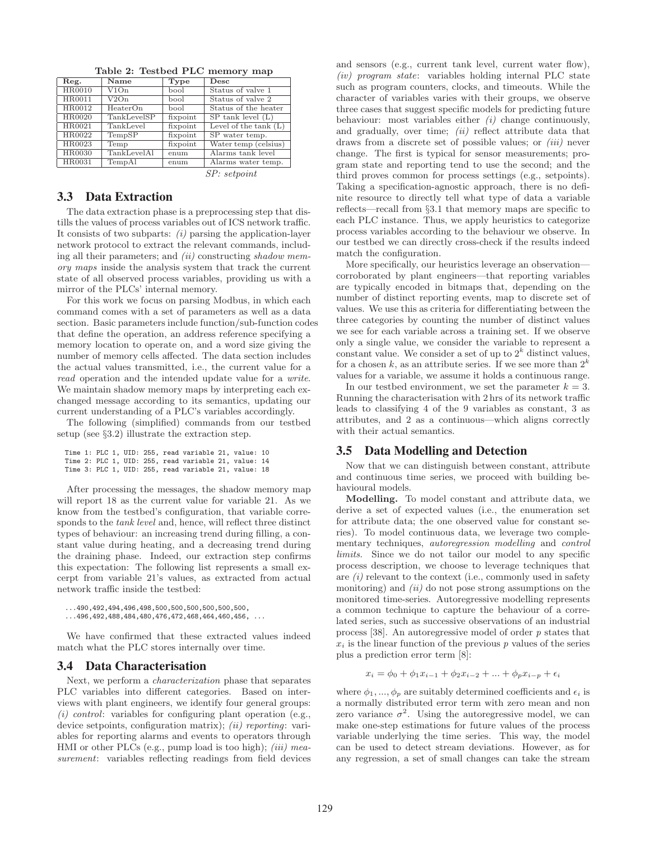|  | Table 2: Testbed PLC memory map |  |  |  |  |
|--|---------------------------------|--|--|--|--|
|--|---------------------------------|--|--|--|--|

| Reg.          | Name                     | Type     | <b>Desc</b>             |
|---------------|--------------------------|----------|-------------------------|
| <b>HR0010</b> | $\overline{\text{V1On}}$ | bool     | Status of valve 1       |
| <b>HR0011</b> | V2On                     | bool     | Status of valve 2       |
| HR0012        | HeaterOn                 | bool     | Status of the heater    |
| <b>HR0020</b> | TankLevelSP              | fixpoint | $SP$ tank level $(L)$   |
| HR0021        | TankLevel                | fixpoint | Level of the tank $(L)$ |
| HR0022        | TempSP                   | fixpoint | SP water temp.          |
| HR0023        | Temp                     | fixpoint | Water temp (celsius)    |
| <b>HR0030</b> | TankLevelAl              | enum     | Alarms tank level       |
| <b>HR0031</b> | TempAl                   | enum     | Alarms water temp.      |

*SP: setpoint*

## 3.3 Data Extraction

The data extraction phase is a preprocessing step that distills the values of process variables out of ICS network traffic. It consists of two subparts: *(i)* parsing the application-layer network protocol to extract the relevant commands, including all their parameters; and *(ii)* constructing *shadow memory maps* inside the analysis system that track the current state of all observed process variables, providing us with a mirror of the PLCs' internal memory.

For this work we focus on parsing Modbus, in which each command comes with a set of parameters as well as a data section. Basic parameters include function/sub-function codes that define the operation, an address reference specifying a memory location to operate on, and a word size giving the number of memory cells affected. The data section includes the actual values transmitted, i.e., the current value for a *read* operation and the intended update value for a *write*. We maintain shadow memory maps by interpreting each exchanged message according to its semantics, updating our current understanding of a PLC's variables accordingly.

The following (simplified) commands from our testbed setup (see §3.2) illustrate the extraction step.

```
Time 1: PLC 1, UID: 255, read variable 21, value: 10
Time 2: PLC 1, UID: 255, read variable 21, value: 14
Time 3: PLC 1, UID: 255, read variable 21, value: 18
```
After processing the messages, the shadow memory map will report 18 as the current value for variable 21. As we know from the testbed's configuration, that variable corresponds to the *tank level* and, hence, will reflect three distinct types of behaviour: an increasing trend during filling, a constant value during heating, and a decreasing trend during the draining phase. Indeed, our extraction step confirms this expectation: The following list represents a small excerpt from variable 21's values, as extracted from actual network traffic inside the testbed:

...490,492,494,496,498,500,500,500,500,500,500,  $...496,492,488,484,480,476,472,468,464,460,456, ...$ 

We have confirmed that these extracted values indeed match what the PLC stores internally over time.

#### 3.4 Data Characterisation

Next, we perform a *characterization* phase that separates PLC variables into different categories. Based on interviews with plant engineers, we identify four general groups: *(i) control*: variables for configuring plant operation (e.g., device setpoints, configuration matrix); *(ii) reporting*: variables for reporting alarms and events to operators through HMI or other PLCs (e.g., pump load is too high); *(iii) measurement*: variables reflecting readings from field devices

and sensors (e.g., current tank level, current water flow), *(iv) program state*: variables holding internal PLC state such as program counters, clocks, and timeouts. While the character of variables varies with their groups, we observe three cases that suggest specific models for predicting future behaviour: most variables either *(i)* change continuously, and gradually, over time; *(ii)* reflect attribute data that draws from a discrete set of possible values; or *(iii)* never change. The first is typical for sensor measurements; program state and reporting tend to use the second; and the third proves common for process settings (e.g., setpoints). Taking a specification-agnostic approach, there is no definite resource to directly tell what type of data a variable reflects—recall from §3.1 that memory maps are specific to each PLC instance. Thus, we apply heuristics to categorize process variables according to the behaviour we observe. In our testbed we can directly cross-check if the results indeed match the configuration.

More specifically, our heuristics leverage an observation corroborated by plant engineers—that reporting variables are typically encoded in bitmaps that, depending on the number of distinct reporting events, map to discrete set of values. We use this as criteria for differentiating between the three categories by counting the number of distinct values we see for each variable across a training set. If we observe only a single value, we consider the variable to represent a constant value. We consider a set of up to  $2^k$  distinct values, for a chosen k, as an attribute series. If we see more than  $2^k$ values for a variable, we assume it holds a continuous range.

In our testbed environment, we set the parameter  $k = 3$ . Running the characterisation with 2 hrs of its network traffic leads to classifying 4 of the 9 variables as constant, 3 as attributes, and 2 as a continuous—which aligns correctly with their actual semantics.

## 3.5 Data Modelling and Detection

Now that we can distinguish between constant, attribute and continuous time series, we proceed with building behavioural models.

**Modelling.** To model constant and attribute data, we derive a set of expected values (i.e., the enumeration set for attribute data; the one observed value for constant series). To model continuous data, we leverage two complementary techniques, *autoregression modelling* and *control limits*. Since we do not tailor our model to any specific process description, we choose to leverage techniques that are *(i)* relevant to the context (i.e., commonly used in safety monitoring) and *(ii)* do not pose strong assumptions on the monitored time-series. Autoregressive modelling represents a common technique to capture the behaviour of a correlated series, such as successive observations of an industrial process [38]. An autoregressive model of order *p* states that  $x_i$  is the linear function of the previous  $p$  values of the series plus a prediction error term [8]:

$$
x_i = \phi_0 + \phi_1 x_{i-1} + \phi_2 x_{i-2} + \dots + \phi_p x_{i-p} + \epsilon_i
$$

where  $\phi_1, ..., \phi_p$  are suitably determined coefficients and  $\epsilon_i$  is a normally distributed error term with zero mean and non zero variance  $\sigma^2$ . Using the autoregressive model, we can make one-step estimations for future values of the process variable underlying the time series. This way, the model can be used to detect stream deviations. However, as for any regression, a set of small changes can take the stream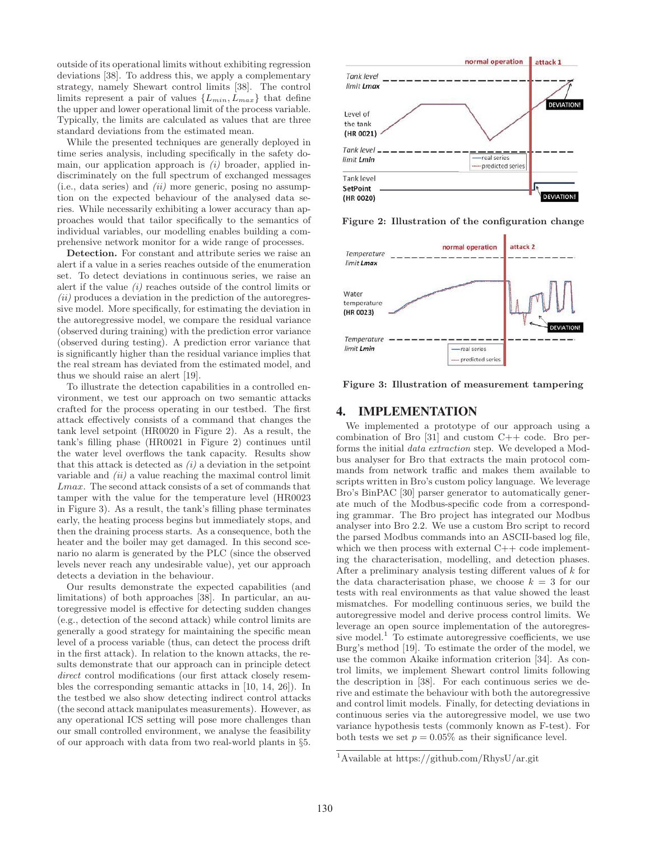outside of its operational limits without exhibiting regression deviations [38]. To address this, we apply a complementary strategy, namely Shewart control limits [38]. The control limits represent a pair of values  $\{L_{min}, L_{max}\}\$  that define the upper and lower operational limit of the process variable. Typically, the limits are calculated as values that are three standard deviations from the estimated mean.

While the presented techniques are generally deployed in time series analysis, including specifically in the safety domain, our application approach is *(i)* broader, applied indiscriminately on the full spectrum of exchanged messages (i.e., data series) and *(ii)* more generic, posing no assumption on the expected behaviour of the analysed data series. While necessarily exhibiting a lower accuracy than approaches would that tailor specifically to the semantics of individual variables, our modelling enables building a comprehensive network monitor for a wide range of processes.

**Detection.** For constant and attribute series we raise an alert if a value in a series reaches outside of the enumeration set. To detect deviations in continuous series, we raise an alert if the value *(i)* reaches outside of the control limits or *(ii)* produces a deviation in the prediction of the autoregressive model. More specifically, for estimating the deviation in the autoregressive model, we compare the residual variance (observed during training) with the prediction error variance (observed during testing). A prediction error variance that is significantly higher than the residual variance implies that the real stream has deviated from the estimated model, and thus we should raise an alert [19].

To illustrate the detection capabilities in a controlled environment, we test our approach on two semantic attacks crafted for the process operating in our testbed. The first attack effectively consists of a command that changes the tank level setpoint (HR0020 in Figure 2). As a result, the tank's filling phase (HR0021 in Figure 2) continues until the water level overflows the tank capacity. Results show that this attack is detected as *(i)* a deviation in the setpoint variable and *(ii)* a value reaching the maximal control limit Lmax. The second attack consists of a set of commands that tamper with the value for the temperature level (HR0023 in Figure 3). As a result, the tank's filling phase terminates early, the heating process begins but immediately stops, and then the draining process starts. As a consequence, both the heater and the boiler may get damaged. In this second scenario no alarm is generated by the PLC (since the observed levels never reach any undesirable value), yet our approach detects a deviation in the behaviour.

Our results demonstrate the expected capabilities (and limitations) of both approaches [38]. In particular, an autoregressive model is effective for detecting sudden changes (e.g., detection of the second attack) while control limits are generally a good strategy for maintaining the specific mean level of a process variable (thus, can detect the process drift in the first attack). In relation to the known attacks, the results demonstrate that our approach can in principle detect *direct* control modifications (our first attack closely resembles the corresponding semantic attacks in [10, 14, 26]). In the testbed we also show detecting indirect control attacks (the second attack manipulates measurements). However, as any operational ICS setting will pose more challenges than our small controlled environment, we analyse the feasibility of our approach with data from two real-world plants in §5.



**Figure 2: Illustration of the configuration change**



**Figure 3: Illustration of measurement tampering**

# 4. IMPLEMENTATION

We implemented a prototype of our approach using a combination of Bro [31] and custom C++ code. Bro performs the initial *data extraction* step. We developed a Modbus analyser for Bro that extracts the main protocol commands from network traffic and makes them available to scripts written in Bro's custom policy language. We leverage Bro's BinPAC [30] parser generator to automatically generate much of the Modbus-specific code from a corresponding grammar. The Bro project has integrated our Modbus analyser into Bro 2.2. We use a custom Bro script to record the parsed Modbus commands into an ASCII-based log file, which we then process with external  $C++$  code implementing the characterisation, modelling, and detection phases. After a preliminary analysis testing different values of k for the data characterisation phase, we choose  $k = 3$  for our tests with real environments as that value showed the least mismatches. For modelling continuous series, we build the autoregressive model and derive process control limits. We leverage an open source implementation of the autoregressive model.<sup>1</sup> To estimate autoregressive coefficients, we use Burg's method [19]. To estimate the order of the model, we use the common Akaike information criterion [34]. As control limits, we implement Shewart control limits following the description in [38]. For each continuous series we derive and estimate the behaviour with both the autoregressive and control limit models. Finally, for detecting deviations in continuous series via the autoregressive model, we use two variance hypothesis tests (commonly known as F-test). For both tests we set  $p = 0.05\%$  as their significance level.

<sup>1</sup>Available at https://github.com/RhysU/ar.git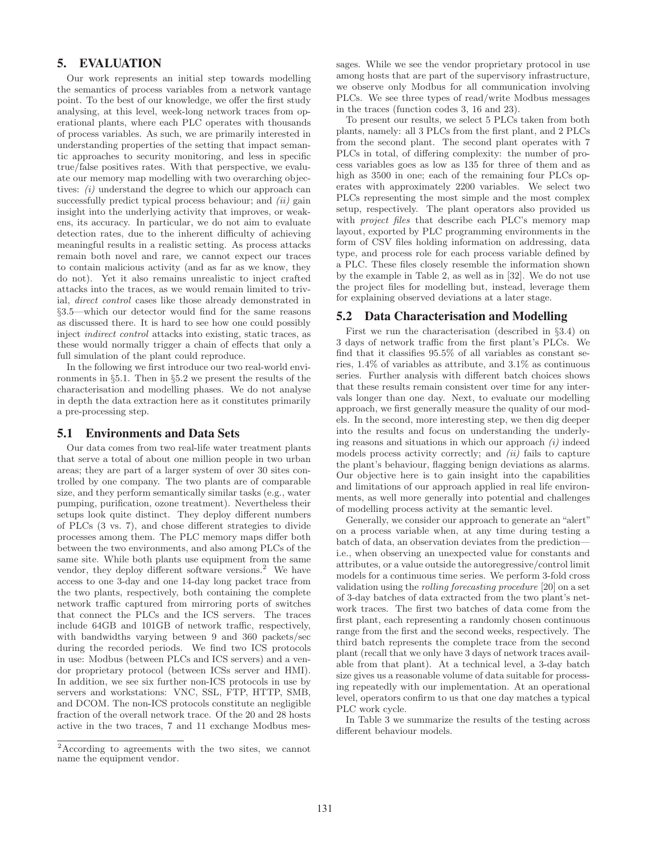# 5. EVALUATION

Our work represents an initial step towards modelling the semantics of process variables from a network vantage point. To the best of our knowledge, we offer the first study analysing, at this level, week-long network traces from operational plants, where each PLC operates with thousands of process variables. As such, we are primarily interested in understanding properties of the setting that impact semantic approaches to security monitoring, and less in specific true/false positives rates. With that perspective, we evaluate our memory map modelling with two overarching objectives: *(i)* understand the degree to which our approach can successfully predict typical process behaviour; and *(ii)* gain insight into the underlying activity that improves, or weakens, its accuracy. In particular, we do not aim to evaluate detection rates, due to the inherent difficulty of achieving meaningful results in a realistic setting. As process attacks remain both novel and rare, we cannot expect our traces to contain malicious activity (and as far as we know, they do not). Yet it also remains unrealistic to inject crafted attacks into the traces, as we would remain limited to trivial, *direct control* cases like those already demonstrated in §3.5—which our detector would find for the same reasons as discussed there. It is hard to see how one could possibly inject *indirect control* attacks into existing, static traces, as these would normally trigger a chain of effects that only a full simulation of the plant could reproduce.

In the following we first introduce our two real-world environments in §5.1. Then in §5.2 we present the results of the characterisation and modelling phases. We do not analyse in depth the data extraction here as it constitutes primarily a pre-processing step.

# 5.1 Environments and Data Sets

Our data comes from two real-life water treatment plants that serve a total of about one million people in two urban areas; they are part of a larger system of over 30 sites controlled by one company. The two plants are of comparable size, and they perform semantically similar tasks (e.g., water pumping, purification, ozone treatment). Nevertheless their setups look quite distinct. They deploy different numbers of PLCs (3 vs. 7), and chose different strategies to divide processes among them. The PLC memory maps differ both between the two environments, and also among PLCs of the same site. While both plants use equipment from the same vendor, they deploy different software versions.<sup>2</sup> We have access to one 3-day and one 14-day long packet trace from the two plants, respectively, both containing the complete network traffic captured from mirroring ports of switches that connect the PLCs and the ICS servers. The traces include 64GB and 101GB of network traffic, respectively, with bandwidths varying between 9 and 360 packets/sec during the recorded periods. We find two ICS protocols in use: Modbus (between PLCs and ICS servers) and a vendor proprietary protocol (between ICSs server and HMI). In addition, we see six further non-ICS protocols in use by servers and workstations: VNC, SSL, FTP, HTTP, SMB, and DCOM. The non-ICS protocols constitute an negligible fraction of the overall network trace. Of the 20 and 28 hosts active in the two traces, 7 and 11 exchange Modbus messages. While we see the vendor proprietary protocol in use among hosts that are part of the supervisory infrastructure, we observe only Modbus for all communication involving PLCs. We see three types of read/write Modbus messages in the traces (function codes 3, 16 and 23).

To present our results, we select 5 PLCs taken from both plants, namely: all 3 PLCs from the first plant, and 2 PLCs from the second plant. The second plant operates with 7 PLCs in total, of differing complexity: the number of process variables goes as low as 135 for three of them and as high as 3500 in one; each of the remaining four PLCs operates with approximately 2200 variables. We select two PLCs representing the most simple and the most complex setup, respectively. The plant operators also provided us with *project files* that describe each PLC's memory map layout, exported by PLC programming environments in the form of CSV files holding information on addressing, data type, and process role for each process variable defined by a PLC. These files closely resemble the information shown by the example in Table 2, as well as in [32]. We do not use the project files for modelling but, instead, leverage them for explaining observed deviations at a later stage.

## 5.2 Data Characterisation and Modelling

First we run the characterisation (described in §3.4) on 3 days of network traffic from the first plant's PLCs. We find that it classifies 95.5% of all variables as constant series, 1.4% of variables as attribute, and 3.1% as continuous series. Further analysis with different batch choices shows that these results remain consistent over time for any intervals longer than one day. Next, to evaluate our modelling approach, we first generally measure the quality of our models. In the second, more interesting step, we then dig deeper into the results and focus on understanding the underlying reasons and situations in which our approach *(i)* indeed models process activity correctly; and *(ii)* fails to capture the plant's behaviour, flagging benign deviations as alarms. Our objective here is to gain insight into the capabilities and limitations of our approach applied in real life environments, as well more generally into potential and challenges of modelling process activity at the semantic level.

Generally, we consider our approach to generate an "alert" on a process variable when, at any time during testing a batch of data, an observation deviates from the prediction i.e., when observing an unexpected value for constants and attributes, or a value outside the autoregressive/control limit models for a continuous time series. We perform 3-fold cross validation using the *rolling forecasting procedure* [20] on a set of 3-day batches of data extracted from the two plant's network traces. The first two batches of data come from the first plant, each representing a randomly chosen continuous range from the first and the second weeks, respectively. The third batch represents the complete trace from the second plant (recall that we only have 3 days of network traces available from that plant). At a technical level, a 3-day batch size gives us a reasonable volume of data suitable for processing repeatedly with our implementation. At an operational level, operators confirm to us that one day matches a typical PLC work cycle.

In Table 3 we summarize the results of the testing across different behaviour models.

<sup>2</sup>According to agreements with the two sites, we cannot name the equipment vendor.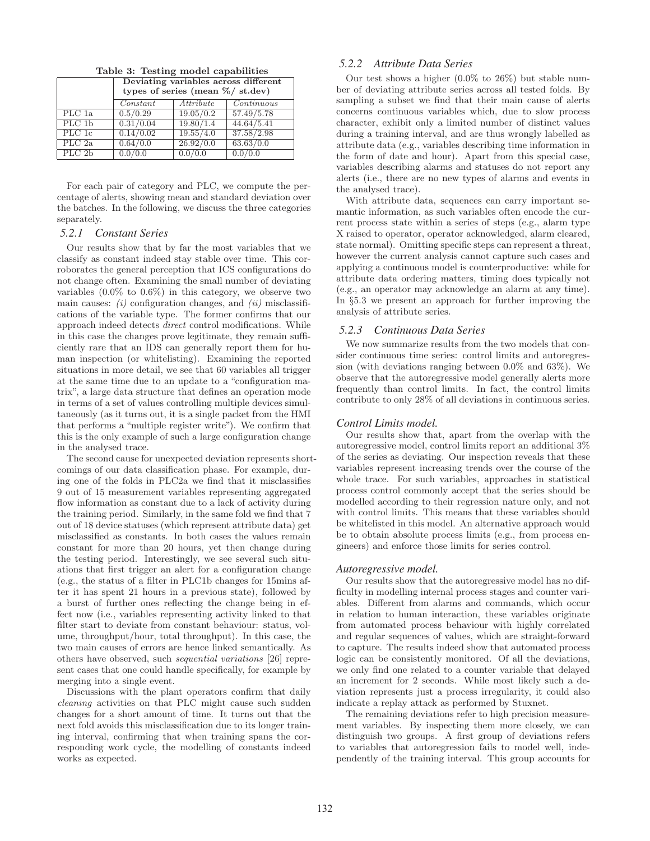|  |  |  | Table 3: Testing model capabilities |
|--|--|--|-------------------------------------|
|--|--|--|-------------------------------------|

|                   | Deviating variables across different<br>types of series (mean $\%$ / st.dev) |           |            |  |
|-------------------|------------------------------------------------------------------------------|-----------|------------|--|
|                   | Constant                                                                     | Attribute | Continuous |  |
| PLC 1a            | 0.5/0.29                                                                     | 19.05/0.2 | 57.49/5.78 |  |
| PLC 1b            | 0.31/0.04                                                                    | 19.80/1.4 | 44.64/5.41 |  |
| PLC1c             | 0.14/0.02                                                                    | 19.55/4.0 | 37.58/2.98 |  |
| PLC <sub>2a</sub> | 0.64/0.0                                                                     | 26.92/0.0 | 63.63/0.0  |  |
| PLC 2b            | 0.0/0.0                                                                      | 0.0/0.0   | 0.0/0.0    |  |

For each pair of category and PLC, we compute the percentage of alerts, showing mean and standard deviation over the batches. In the following, we discuss the three categories separately.

## *5.2.1 Constant Series*

Our results show that by far the most variables that we classify as constant indeed stay stable over time. This corroborates the general perception that ICS configurations do not change often. Examining the small number of deviating variables (0.0% to 0.6%) in this category, we observe two main causes: *(i)* configuration changes, and *(ii)* misclassifications of the variable type. The former confirms that our approach indeed detects *direct* control modifications. While in this case the changes prove legitimate, they remain sufficiently rare that an IDS can generally report them for human inspection (or whitelisting). Examining the reported situations in more detail, we see that 60 variables all trigger at the same time due to an update to a "configuration matrix", a large data structure that defines an operation mode in terms of a set of values controlling multiple devices simultaneously (as it turns out, it is a single packet from the HMI that performs a "multiple register write"). We confirm that this is the only example of such a large configuration change in the analysed trace.

The second cause for unexpected deviation represents shortcomings of our data classification phase. For example, during one of the folds in PLC2a we find that it misclassifies 9 out of 15 measurement variables representing aggregated flow information as constant due to a lack of activity during the training period. Similarly, in the same fold we find that 7 out of 18 device statuses (which represent attribute data) get misclassified as constants. In both cases the values remain constant for more than 20 hours, yet then change during the testing period. Interestingly, we see several such situations that first trigger an alert for a configuration change (e.g., the status of a filter in PLC1b changes for 15mins after it has spent 21 hours in a previous state), followed by a burst of further ones reflecting the change being in effect now (i.e., variables representing activity linked to that filter start to deviate from constant behaviour: status, volume, throughput/hour, total throughput). In this case, the two main causes of errors are hence linked semantically. As others have observed, such *sequential variations* [26] represent cases that one could handle specifically, for example by merging into a single event.

Discussions with the plant operators confirm that daily *cleaning* activities on that PLC might cause such sudden changes for a short amount of time. It turns out that the next fold avoids this misclassification due to its longer training interval, confirming that when training spans the corresponding work cycle, the modelling of constants indeed works as expected.

## *5.2.2 Attribute Data Series*

Our test shows a higher  $(0.0\%$  to  $26\%)$  but stable number of deviating attribute series across all tested folds. By sampling a subset we find that their main cause of alerts concerns continuous variables which, due to slow process character, exhibit only a limited number of distinct values during a training interval, and are thus wrongly labelled as attribute data (e.g., variables describing time information in the form of date and hour). Apart from this special case, variables describing alarms and statuses do not report any alerts (i.e., there are no new types of alarms and events in the analysed trace).

With attribute data, sequences can carry important semantic information, as such variables often encode the current process state within a series of steps (e.g., alarm type X raised to operator, operator acknowledged, alarm cleared, state normal). Omitting specific steps can represent a threat, however the current analysis cannot capture such cases and applying a continuous model is counterproductive: while for attribute data ordering matters, timing does typically not (e.g., an operator may acknowledge an alarm at any time). In §5.3 we present an approach for further improving the analysis of attribute series.

#### *5.2.3 Continuous Data Series*

We now summarize results from the two models that consider continuous time series: control limits and autoregression (with deviations ranging between 0.0% and 63%). We observe that the autoregressive model generally alerts more frequently than control limits. In fact, the control limits contribute to only 28% of all deviations in continuous series.

#### *Control Limits model.*

Our results show that, apart from the overlap with the autoregressive model, control limits report an additional 3% of the series as deviating. Our inspection reveals that these variables represent increasing trends over the course of the whole trace. For such variables, approaches in statistical process control commonly accept that the series should be modelled according to their regression nature only, and not with control limits. This means that these variables should be whitelisted in this model. An alternative approach would be to obtain absolute process limits (e.g., from process engineers) and enforce those limits for series control.

#### *Autoregressive model.*

Our results show that the autoregressive model has no difficulty in modelling internal process stages and counter variables. Different from alarms and commands, which occur in relation to human interaction, these variables originate from automated process behaviour with highly correlated and regular sequences of values, which are straight-forward to capture. The results indeed show that automated process logic can be consistently monitored. Of all the deviations, we only find one related to a counter variable that delayed an increment for 2 seconds. While most likely such a deviation represents just a process irregularity, it could also indicate a replay attack as performed by Stuxnet.

The remaining deviations refer to high precision measurement variables. By inspecting them more closely, we can distinguish two groups. A first group of deviations refers to variables that autoregression fails to model well, independently of the training interval. This group accounts for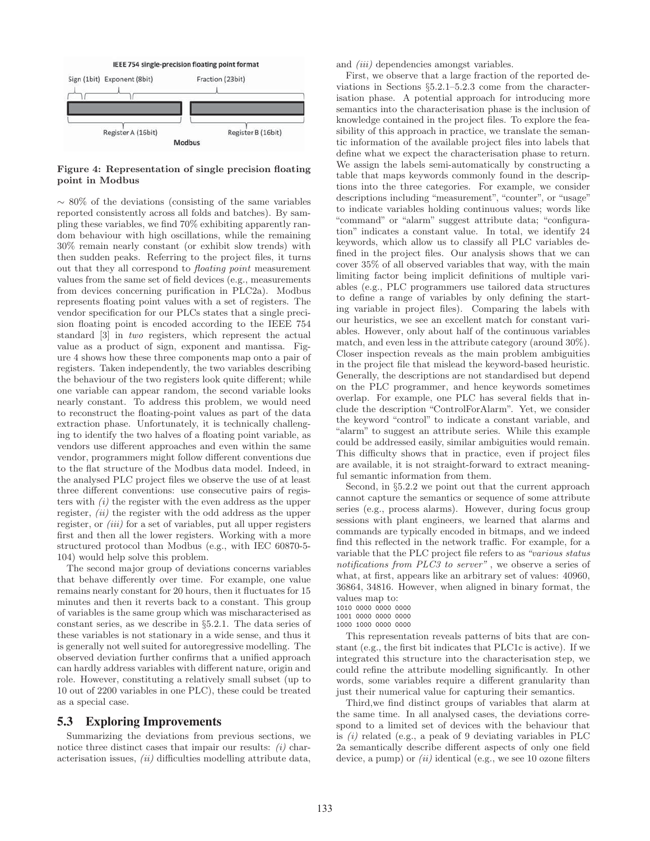

**Figure 4: Representation of single precision floating point in Modbus**

 $~\sim~80\%$  of the deviations (consisting of the same variables reported consistently across all folds and batches). By sampling these variables, we find 70% exhibiting apparently random behaviour with high oscillations, while the remaining 30% remain nearly constant (or exhibit slow trends) with then sudden peaks. Referring to the project files, it turns out that they all correspond to *floating point* measurement values from the same set of field devices (e.g., measurements from devices concerning purification in PLC2a). Modbus represents floating point values with a set of registers. The vendor specification for our PLCs states that a single precision floating point is encoded according to the IEEE 754 standard [3] in *two* registers, which represent the actual value as a product of sign, exponent and mantissa. Figure 4 shows how these three components map onto a pair of registers. Taken independently, the two variables describing the behaviour of the two registers look quite different; while one variable can appear random, the second variable looks nearly constant. To address this problem, we would need to reconstruct the floating-point values as part of the data extraction phase. Unfortunately, it is technically challenging to identify the two halves of a floating point variable, as vendors use different approaches and even within the same vendor, programmers might follow different conventions due to the flat structure of the Modbus data model. Indeed, in the analysed PLC project files we observe the use of at least three different conventions: use consecutive pairs of registers with *(i)* the register with the even address as the upper register, *(ii)* the register with the odd address as the upper register, or *(iii)* for a set of variables, put all upper registers first and then all the lower registers. Working with a more structured protocol than Modbus (e.g., with IEC 60870-5- 104) would help solve this problem.

The second major group of deviations concerns variables that behave differently over time. For example, one value remains nearly constant for 20 hours, then it fluctuates for 15 minutes and then it reverts back to a constant. This group of variables is the same group which was mischaracterised as constant series, as we describe in §5.2.1. The data series of these variables is not stationary in a wide sense, and thus it is generally not well suited for autoregressive modelling. The observed deviation further confirms that a unified approach can hardly address variables with different nature, origin and role. However, constituting a relatively small subset (up to 10 out of 2200 variables in one PLC), these could be treated as a special case.

# 5.3 Exploring Improvements

Summarizing the deviations from previous sections, we notice three distinct cases that impair our results: *(i)* characterisation issues, *(ii)* difficulties modelling attribute data,

and *(iii)* dependencies amongst variables.

First, we observe that a large fraction of the reported deviations in Sections §5.2.1–5.2.3 come from the characterisation phase. A potential approach for introducing more semantics into the characterisation phase is the inclusion of knowledge contained in the project files. To explore the feasibility of this approach in practice, we translate the semantic information of the available project files into labels that define what we expect the characterisation phase to return. We assign the labels semi-automatically by constructing a table that maps keywords commonly found in the descriptions into the three categories. For example, we consider descriptions including "measurement", "counter", or "usage" to indicate variables holding continuous values; words like "command" or "alarm" suggest attribute data; "configuration" indicates a constant value. In total, we identify 24 keywords, which allow us to classify all PLC variables defined in the project files. Our analysis shows that we can cover 35% of all observed variables that way, with the main limiting factor being implicit definitions of multiple variables (e.g., PLC programmers use tailored data structures to define a range of variables by only defining the starting variable in project files). Comparing the labels with our heuristics, we see an excellent match for constant variables. However, only about half of the continuous variables match, and even less in the attribute category (around 30%). Closer inspection reveals as the main problem ambiguities in the project file that mislead the keyword-based heuristic. Generally, the descriptions are not standardised but depend on the PLC programmer, and hence keywords sometimes overlap. For example, one PLC has several fields that include the description "ControlForAlarm". Yet, we consider the keyword "control" to indicate a constant variable, and "alarm" to suggest an attribute series. While this example could be addressed easily, similar ambiguities would remain. This difficulty shows that in practice, even if project files are available, it is not straight-forward to extract meaningful semantic information from them.

Second, in §5.2.2 we point out that the current approach cannot capture the semantics or sequence of some attribute series (e.g., process alarms). However, during focus group sessions with plant engineers, we learned that alarms and commands are typically encoded in bitmaps, and we indeed find this reflected in the network traffic. For example, for a variable that the PLC project file refers to as *"various status notifications from PLC3 to server"* , we observe a series of what, at first, appears like an arbitrary set of values: 40960, 36864, 34816. However, when aligned in binary format, the values map to:

1010 0000 0000 0000

1001 0000 0000 0000

1000 1000 0000 0000

This representation reveals patterns of bits that are constant (e.g., the first bit indicates that PLC1c is active). If we integrated this structure into the characterisation step, we could refine the attribute modelling significantly. In other words, some variables require a different granularity than just their numerical value for capturing their semantics.

Third,we find distinct groups of variables that alarm at the same time. In all analysed cases, the deviations correspond to a limited set of devices with the behaviour that is *(i)* related (e.g., a peak of 9 deviating variables in PLC 2a semantically describe different aspects of only one field device, a pump) or *(ii)* identical (e.g., we see 10 ozone filters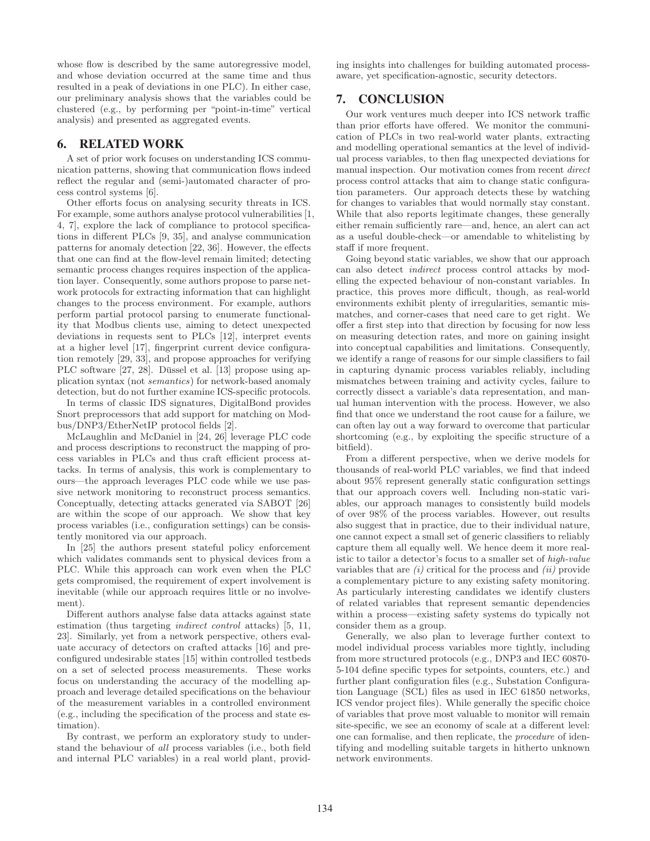whose flow is described by the same autoregressive model, and whose deviation occurred at the same time and thus resulted in a peak of deviations in one PLC). In either case, our preliminary analysis shows that the variables could be clustered (e.g., by performing per "point-in-time" vertical analysis) and presented as aggregated events.

# 6. RELATED WORK

A set of prior work focuses on understanding ICS communication patterns, showing that communication flows indeed reflect the regular and (semi-)automated character of process control systems [6].

Other efforts focus on analysing security threats in ICS. For example, some authors analyse protocol vulnerabilities [1, 4, 7], explore the lack of compliance to protocol specifications in different PLCs [9, 35], and analyse communication patterns for anomaly detection [22, 36]. However, the effects that one can find at the flow-level remain limited; detecting semantic process changes requires inspection of the application layer. Consequently, some authors propose to parse network protocols for extracting information that can highlight changes to the process environment. For example, authors perform partial protocol parsing to enumerate functionality that Modbus clients use, aiming to detect unexpected deviations in requests sent to PLCs [12], interpret events at a higher level [17], fingerprint current device configuration remotely [29, 33], and propose approaches for verifying PLC software [27, 28]. Düssel et al. [13] propose using application syntax (not *semantics*) for network-based anomaly detection, but do not further examine ICS-specific protocols.

In terms of classic IDS signatures, DigitalBond provides Snort preprocessors that add support for matching on Modbus/DNP3/EtherNetIP protocol fields [2].

McLaughlin and McDaniel in [24, 26] leverage PLC code and process descriptions to reconstruct the mapping of process variables in PLCs and thus craft efficient process attacks. In terms of analysis, this work is complementary to ours—the approach leverages PLC code while we use passive network monitoring to reconstruct process semantics. Conceptually, detecting attacks generated via SABOT [26] are within the scope of our approach. We show that key process variables (i.e., configuration settings) can be consistently monitored via our approach.

In [25] the authors present stateful policy enforcement which validates commands sent to physical devices from a PLC. While this approach can work even when the PLC gets compromised, the requirement of expert involvement is inevitable (while our approach requires little or no involvement).

Different authors analyse false data attacks against state estimation (thus targeting *indirect control* attacks) [5, 11, 23]. Similarly, yet from a network perspective, others evaluate accuracy of detectors on crafted attacks [16] and preconfigured undesirable states [15] within controlled testbeds on a set of selected process measurements. These works focus on understanding the accuracy of the modelling approach and leverage detailed specifications on the behaviour of the measurement variables in a controlled environment (e.g., including the specification of the process and state estimation).

By contrast, we perform an exploratory study to understand the behaviour of *all* process variables (i.e., both field and internal PLC variables) in a real world plant, providing insights into challenges for building automated processaware, yet specification-agnostic, security detectors.

# 7. CONCLUSION

Our work ventures much deeper into ICS network traffic than prior efforts have offered. We monitor the communication of PLCs in two real-world water plants, extracting and modelling operational semantics at the level of individual process variables, to then flag unexpected deviations for manual inspection. Our motivation comes from recent *direct* process control attacks that aim to change static configuration parameters. Our approach detects these by watching for changes to variables that would normally stay constant. While that also reports legitimate changes, these generally either remain sufficiently rare—and, hence, an alert can act as a useful double-check—or amendable to whitelisting by staff if more frequent.

Going beyond static variables, we show that our approach can also detect *indirect* process control attacks by modelling the expected behaviour of non-constant variables. In practice, this proves more difficult, though, as real-world environments exhibit plenty of irregularities, semantic mismatches, and corner-cases that need care to get right. We offer a first step into that direction by focusing for now less on measuring detection rates, and more on gaining insight into conceptual capabilities and limitations. Consequently, we identify a range of reasons for our simple classifiers to fail in capturing dynamic process variables reliably, including mismatches between training and activity cycles, failure to correctly dissect a variable's data representation, and manual human intervention with the process. However, we also find that once we understand the root cause for a failure, we can often lay out a way forward to overcome that particular shortcoming (e.g., by exploiting the specific structure of a bitfield).

From a different perspective, when we derive models for thousands of real-world PLC variables, we find that indeed about 95% represent generally static configuration settings that our approach covers well. Including non-static variables, our approach manages to consistently build models of over 98% of the process variables. However, out results also suggest that in practice, due to their individual nature, one cannot expect a small set of generic classifiers to reliably capture them all equally well. We hence deem it more realistic to tailor a detector's focus to a smaller set of *high-value* variables that are *(i)* critical for the process and *(ii)* provide a complementary picture to any existing safety monitoring. As particularly interesting candidates we identify clusters of related variables that represent semantic dependencies within a process—existing safety systems do typically not consider them as a group.

Generally, we also plan to leverage further context to model individual process variables more tightly, including from more structured protocols (e.g., DNP3 and IEC 60870- 5-104 define specific types for setpoints, counters, etc.) and further plant configuration files (e.g., Substation Configuration Language (SCL) files as used in IEC 61850 networks, ICS vendor project files). While generally the specific choice of variables that prove most valuable to monitor will remain site-specific, we see an economy of scale at a different level: one can formalise, and then replicate, the *procedure* of identifying and modelling suitable targets in hitherto unknown network environments.